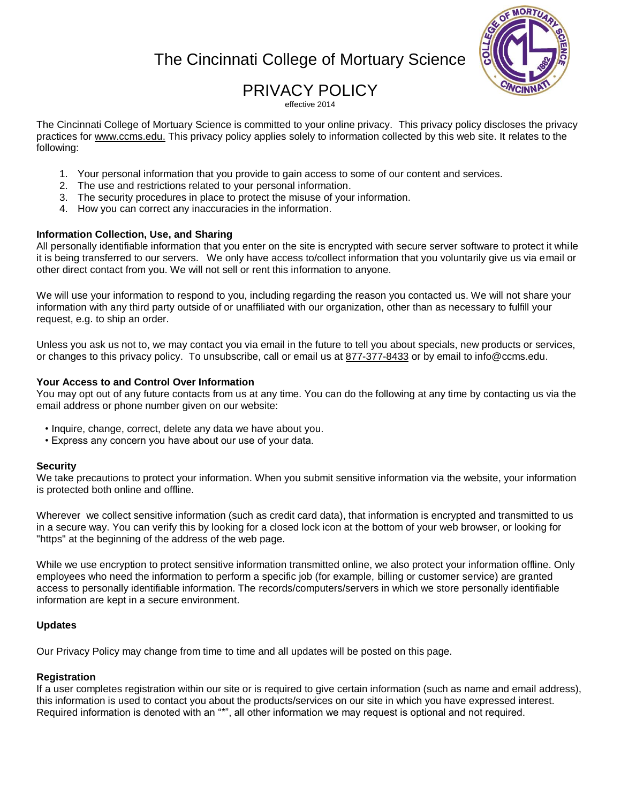# The Cincinnati College of Mortuary Science



# PRIVACY POLICY

effective 2014

The Cincinnati College of Mortuary Science is committed to your online privacy. This privacy policy discloses the privacy practices for www.ccms.edu. This privacy policy applies solely to information collected by this web site. It relates to the following:

- 1. Your personal information that you provide to gain access to some of our content and services.
- 2. The use and restrictions related to your personal information.
- 3. The security procedures in place to protect the misuse of your information.
- 4. How you can correct any inaccuracies in the information.

## **Information Collection, Use, and Sharing**

All personally identifiable information that you enter on the site is encrypted with secure server software to protect it while it is being transferred to our servers. We only have access to/collect information that you voluntarily give us via email or other direct contact from you. We will not sell or rent this information to anyone.

We will use your information to respond to you, including regarding the reason you contacted us. We will not share your information with any third party outside of or unaffiliated with our organization, other than as necessary to fulfill your request, e.g. to ship an order.

Unless you ask us not to, we may contact you via email in the future to tell you about specials, new products or services, or changes to this privacy policy. To unsubscribe, call or email us at 877-377-8433 or by email to info@ccms.edu.

## **Your Access to and Control Over Information**

You may opt out of any future contacts from us at any time. You can do the following at any time by contacting us via the email address or phone number given on our website:

- Inquire, change, correct, delete any data we have about you.
- Express any concern you have about our use of your data.

### **Security**

We take precautions to protect your information. When you submit sensitive information via the website, your information is protected both online and offline.

Wherever we collect sensitive information (such as credit card data), that information is encrypted and transmitted to us in a secure way. You can verify this by looking for a closed lock icon at the bottom of your web browser, or looking for "https" at the beginning of the address of the web page.

While we use encryption to protect sensitive information transmitted online, we also protect your information offline. Only employees who need the information to perform a specific job (for example, billing or customer service) are granted access to personally identifiable information. The records/computers/servers in which we store personally identifiable information are kept in a secure environment.

### **Updates**

Our Privacy Policy may change from time to time and all updates will be posted on this page.

## **Registration**

If a user completes registration within our site or is required to give certain information (such as name and email address), this information is used to contact you about the products/services on our site in which you have expressed interest. Required information is denoted with an "\*", all other information we may request is optional and not required.